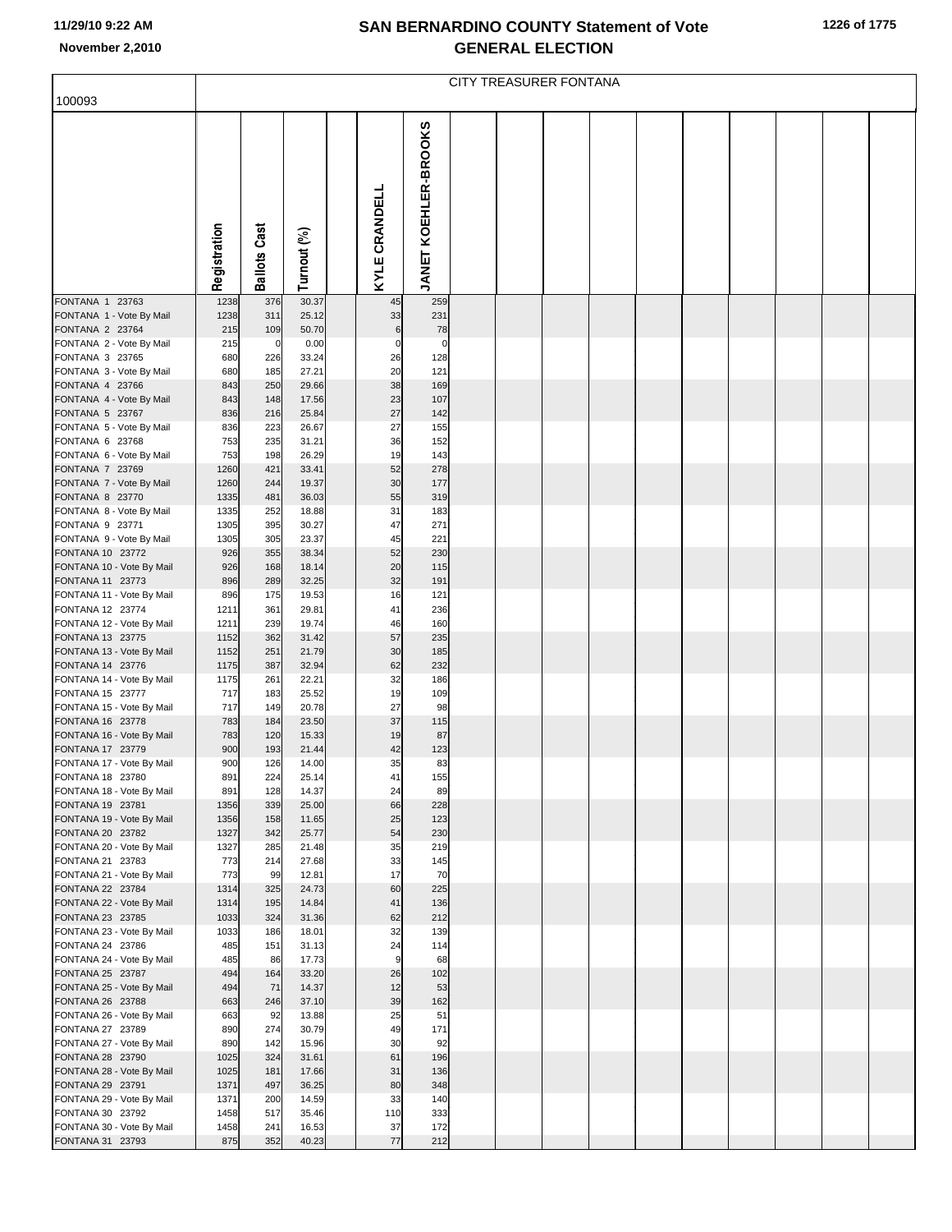|  |  | 1226 of 1775 |
|--|--|--------------|
|--|--|--------------|

|                                                                                                                                                                                                                                                                                                                                                                                                                                                                                                        | CITY TREASURER FONTANA                                                                                                                             |                                                                                                                                        |                                                                                                                                                                         |  |                                                                                                                       |                                                                                                                                     |  |  |  |  |  |  |  |  |  |
|--------------------------------------------------------------------------------------------------------------------------------------------------------------------------------------------------------------------------------------------------------------------------------------------------------------------------------------------------------------------------------------------------------------------------------------------------------------------------------------------------------|----------------------------------------------------------------------------------------------------------------------------------------------------|----------------------------------------------------------------------------------------------------------------------------------------|-------------------------------------------------------------------------------------------------------------------------------------------------------------------------|--|-----------------------------------------------------------------------------------------------------------------------|-------------------------------------------------------------------------------------------------------------------------------------|--|--|--|--|--|--|--|--|--|
| 100093                                                                                                                                                                                                                                                                                                                                                                                                                                                                                                 |                                                                                                                                                    |                                                                                                                                        |                                                                                                                                                                         |  |                                                                                                                       |                                                                                                                                     |  |  |  |  |  |  |  |  |  |
|                                                                                                                                                                                                                                                                                                                                                                                                                                                                                                        | Registration                                                                                                                                       | <b>Ballots Cast</b>                                                                                                                    | Turnout (%)                                                                                                                                                             |  | KYLE CRANDELL                                                                                                         | JANET KOEHLER-BROOKS                                                                                                                |  |  |  |  |  |  |  |  |  |
| FONTANA 1 23763                                                                                                                                                                                                                                                                                                                                                                                                                                                                                        | 1238                                                                                                                                               | 376                                                                                                                                    | 30.37                                                                                                                                                                   |  | 45                                                                                                                    | 259                                                                                                                                 |  |  |  |  |  |  |  |  |  |
| FONTANA 1 - Vote By Mail<br>FONTANA 2 23764                                                                                                                                                                                                                                                                                                                                                                                                                                                            | 1238<br>215                                                                                                                                        | 311<br>109                                                                                                                             | 25.12<br>50.70                                                                                                                                                          |  | 33<br>$\,6$                                                                                                           | 231<br>78                                                                                                                           |  |  |  |  |  |  |  |  |  |
| FONTANA 2 - Vote By Mail                                                                                                                                                                                                                                                                                                                                                                                                                                                                               | 215                                                                                                                                                | $\mathbf 0$                                                                                                                            | 0.00                                                                                                                                                                    |  | $\mathbf 0$                                                                                                           | 0                                                                                                                                   |  |  |  |  |  |  |  |  |  |
| FONTANA 3 23765                                                                                                                                                                                                                                                                                                                                                                                                                                                                                        | 680                                                                                                                                                | 226                                                                                                                                    | 33.24                                                                                                                                                                   |  | 26                                                                                                                    | 128                                                                                                                                 |  |  |  |  |  |  |  |  |  |
| FONTANA 3 - Vote By Mail<br>FONTANA 4 23766                                                                                                                                                                                                                                                                                                                                                                                                                                                            | 680<br>843                                                                                                                                         | 185<br>250                                                                                                                             | 27.21<br>29.66                                                                                                                                                          |  | 20<br>38                                                                                                              | 121<br>169                                                                                                                          |  |  |  |  |  |  |  |  |  |
| FONTANA 4 - Vote By Mail                                                                                                                                                                                                                                                                                                                                                                                                                                                                               | 843                                                                                                                                                | 148                                                                                                                                    | 17.56                                                                                                                                                                   |  | 23                                                                                                                    | 107                                                                                                                                 |  |  |  |  |  |  |  |  |  |
| FONTANA 5 23767                                                                                                                                                                                                                                                                                                                                                                                                                                                                                        | 836                                                                                                                                                | 216                                                                                                                                    | 25.84                                                                                                                                                                   |  | 27                                                                                                                    | 142                                                                                                                                 |  |  |  |  |  |  |  |  |  |
| FONTANA 5 - Vote By Mail                                                                                                                                                                                                                                                                                                                                                                                                                                                                               | 836                                                                                                                                                | 223                                                                                                                                    | 26.67                                                                                                                                                                   |  | 27                                                                                                                    | 155                                                                                                                                 |  |  |  |  |  |  |  |  |  |
| FONTANA 6 23768<br>FONTANA 6 - Vote By Mail                                                                                                                                                                                                                                                                                                                                                                                                                                                            | 753<br>753                                                                                                                                         | 235<br>198                                                                                                                             | 31.21<br>26.29                                                                                                                                                          |  | 36<br>19                                                                                                              | 152<br>143                                                                                                                          |  |  |  |  |  |  |  |  |  |
| FONTANA 7 23769                                                                                                                                                                                                                                                                                                                                                                                                                                                                                        | 1260                                                                                                                                               | 421                                                                                                                                    | 33.41                                                                                                                                                                   |  | 52                                                                                                                    | 278                                                                                                                                 |  |  |  |  |  |  |  |  |  |
| FONTANA 7 - Vote By Mail                                                                                                                                                                                                                                                                                                                                                                                                                                                                               | 1260                                                                                                                                               | 244                                                                                                                                    | 19.37                                                                                                                                                                   |  | 30                                                                                                                    | 177                                                                                                                                 |  |  |  |  |  |  |  |  |  |
| FONTANA 8 23770<br>FONTANA 8 - Vote By Mail                                                                                                                                                                                                                                                                                                                                                                                                                                                            | 1335<br>1335                                                                                                                                       | 481<br>252                                                                                                                             | 36.03<br>18.88                                                                                                                                                          |  | 55<br>31                                                                                                              | 319<br>183                                                                                                                          |  |  |  |  |  |  |  |  |  |
| FONTANA 9 23771                                                                                                                                                                                                                                                                                                                                                                                                                                                                                        | 1305                                                                                                                                               | 395                                                                                                                                    | 30.27                                                                                                                                                                   |  | 47                                                                                                                    | 271                                                                                                                                 |  |  |  |  |  |  |  |  |  |
| FONTANA 9 - Vote By Mail                                                                                                                                                                                                                                                                                                                                                                                                                                                                               | 1305                                                                                                                                               | 305                                                                                                                                    | 23.37                                                                                                                                                                   |  | 45                                                                                                                    | 221                                                                                                                                 |  |  |  |  |  |  |  |  |  |
| FONTANA 10 23772                                                                                                                                                                                                                                                                                                                                                                                                                                                                                       | 926                                                                                                                                                | 355                                                                                                                                    | 38.34                                                                                                                                                                   |  | 52                                                                                                                    | 230                                                                                                                                 |  |  |  |  |  |  |  |  |  |
| FONTANA 10 - Vote By Mail<br>FONTANA 11 23773                                                                                                                                                                                                                                                                                                                                                                                                                                                          | 926<br>896                                                                                                                                         | 168<br>289                                                                                                                             | 18.14<br>32.25                                                                                                                                                          |  | 20<br>32                                                                                                              | 115<br>191                                                                                                                          |  |  |  |  |  |  |  |  |  |
| FONTANA 11 - Vote By Mail                                                                                                                                                                                                                                                                                                                                                                                                                                                                              | 896                                                                                                                                                | 175                                                                                                                                    | 19.53                                                                                                                                                                   |  | 16                                                                                                                    | 121                                                                                                                                 |  |  |  |  |  |  |  |  |  |
| FONTANA 12 23774                                                                                                                                                                                                                                                                                                                                                                                                                                                                                       | 1211                                                                                                                                               | 361                                                                                                                                    | 29.81                                                                                                                                                                   |  | 41                                                                                                                    | 236                                                                                                                                 |  |  |  |  |  |  |  |  |  |
|                                                                                                                                                                                                                                                                                                                                                                                                                                                                                                        |                                                                                                                                                    |                                                                                                                                        |                                                                                                                                                                         |  |                                                                                                                       |                                                                                                                                     |  |  |  |  |  |  |  |  |  |
| FONTANA 13 - Vote By Mail                                                                                                                                                                                                                                                                                                                                                                                                                                                                              | 1152                                                                                                                                               | 251                                                                                                                                    | 21.79                                                                                                                                                                   |  | 30                                                                                                                    | 185                                                                                                                                 |  |  |  |  |  |  |  |  |  |
| FONTANA 14 23776                                                                                                                                                                                                                                                                                                                                                                                                                                                                                       | 1175                                                                                                                                               | 387                                                                                                                                    | 32.94                                                                                                                                                                   |  | 62                                                                                                                    | 232                                                                                                                                 |  |  |  |  |  |  |  |  |  |
|                                                                                                                                                                                                                                                                                                                                                                                                                                                                                                        |                                                                                                                                                    |                                                                                                                                        |                                                                                                                                                                         |  |                                                                                                                       |                                                                                                                                     |  |  |  |  |  |  |  |  |  |
|                                                                                                                                                                                                                                                                                                                                                                                                                                                                                                        |                                                                                                                                                    |                                                                                                                                        |                                                                                                                                                                         |  |                                                                                                                       |                                                                                                                                     |  |  |  |  |  |  |  |  |  |
| FONTANA 16 23778                                                                                                                                                                                                                                                                                                                                                                                                                                                                                       | 783                                                                                                                                                | 184                                                                                                                                    | 23.50                                                                                                                                                                   |  | 37                                                                                                                    | 115                                                                                                                                 |  |  |  |  |  |  |  |  |  |
| FONTANA 16 - Vote By Mail                                                                                                                                                                                                                                                                                                                                                                                                                                                                              | 783                                                                                                                                                | 120                                                                                                                                    | 15.33                                                                                                                                                                   |  | 19                                                                                                                    | 87                                                                                                                                  |  |  |  |  |  |  |  |  |  |
|                                                                                                                                                                                                                                                                                                                                                                                                                                                                                                        |                                                                                                                                                    |                                                                                                                                        |                                                                                                                                                                         |  |                                                                                                                       |                                                                                                                                     |  |  |  |  |  |  |  |  |  |
| FONTANA 18 23780                                                                                                                                                                                                                                                                                                                                                                                                                                                                                       | 891                                                                                                                                                | 224                                                                                                                                    | 25.14                                                                                                                                                                   |  | 41                                                                                                                    | 155                                                                                                                                 |  |  |  |  |  |  |  |  |  |
| FONTANA 18 - Vote By Mail                                                                                                                                                                                                                                                                                                                                                                                                                                                                              | 891                                                                                                                                                | 128                                                                                                                                    | 14.37                                                                                                                                                                   |  | 24                                                                                                                    | 89                                                                                                                                  |  |  |  |  |  |  |  |  |  |
|                                                                                                                                                                                                                                                                                                                                                                                                                                                                                                        |                                                                                                                                                    |                                                                                                                                        |                                                                                                                                                                         |  |                                                                                                                       |                                                                                                                                     |  |  |  |  |  |  |  |  |  |
| FONTANA 20 23782                                                                                                                                                                                                                                                                                                                                                                                                                                                                                       | 1327                                                                                                                                               | 342                                                                                                                                    | 25.77                                                                                                                                                                   |  | 54                                                                                                                    | 230                                                                                                                                 |  |  |  |  |  |  |  |  |  |
| FONTANA 20 - Vote By Mail                                                                                                                                                                                                                                                                                                                                                                                                                                                                              | 1327                                                                                                                                               | 285                                                                                                                                    | 21.48                                                                                                                                                                   |  | 35                                                                                                                    | 219                                                                                                                                 |  |  |  |  |  |  |  |  |  |
|                                                                                                                                                                                                                                                                                                                                                                                                                                                                                                        |                                                                                                                                                    |                                                                                                                                        |                                                                                                                                                                         |  |                                                                                                                       |                                                                                                                                     |  |  |  |  |  |  |  |  |  |
| FONTANA 22 23784                                                                                                                                                                                                                                                                                                                                                                                                                                                                                       | 1314                                                                                                                                               | 325                                                                                                                                    | 24.73                                                                                                                                                                   |  | 60                                                                                                                    | 225                                                                                                                                 |  |  |  |  |  |  |  |  |  |
| FONTANA 22 - Vote By Mail                                                                                                                                                                                                                                                                                                                                                                                                                                                                              | 1314                                                                                                                                               | 195                                                                                                                                    | 14.84                                                                                                                                                                   |  | 41                                                                                                                    | 136                                                                                                                                 |  |  |  |  |  |  |  |  |  |
|                                                                                                                                                                                                                                                                                                                                                                                                                                                                                                        |                                                                                                                                                    |                                                                                                                                        |                                                                                                                                                                         |  |                                                                                                                       |                                                                                                                                     |  |  |  |  |  |  |  |  |  |
|                                                                                                                                                                                                                                                                                                                                                                                                                                                                                                        |                                                                                                                                                    |                                                                                                                                        |                                                                                                                                                                         |  |                                                                                                                       |                                                                                                                                     |  |  |  |  |  |  |  |  |  |
| FONTANA 24 - Vote By Mail                                                                                                                                                                                                                                                                                                                                                                                                                                                                              | 485                                                                                                                                                | 86                                                                                                                                     | 17.73                                                                                                                                                                   |  | 9                                                                                                                     | 68                                                                                                                                  |  |  |  |  |  |  |  |  |  |
| FONTANA 25 23787                                                                                                                                                                                                                                                                                                                                                                                                                                                                                       | 494                                                                                                                                                | 164                                                                                                                                    | 33.20                                                                                                                                                                   |  | 26                                                                                                                    | 102                                                                                                                                 |  |  |  |  |  |  |  |  |  |
|                                                                                                                                                                                                                                                                                                                                                                                                                                                                                                        |                                                                                                                                                    |                                                                                                                                        |                                                                                                                                                                         |  |                                                                                                                       |                                                                                                                                     |  |  |  |  |  |  |  |  |  |
| FONTANA 26 - Vote By Mail                                                                                                                                                                                                                                                                                                                                                                                                                                                                              | 663                                                                                                                                                | 92                                                                                                                                     | 13.88                                                                                                                                                                   |  | 25                                                                                                                    | 51                                                                                                                                  |  |  |  |  |  |  |  |  |  |
| FONTANA 27 23789                                                                                                                                                                                                                                                                                                                                                                                                                                                                                       | 890                                                                                                                                                | 274                                                                                                                                    | 30.79                                                                                                                                                                   |  | 49                                                                                                                    | 171                                                                                                                                 |  |  |  |  |  |  |  |  |  |
| FONTANA 27 - Vote By Mail                                                                                                                                                                                                                                                                                                                                                                                                                                                                              |                                                                                                                                                    |                                                                                                                                        | 15.96                                                                                                                                                                   |  |                                                                                                                       |                                                                                                                                     |  |  |  |  |  |  |  |  |  |
|                                                                                                                                                                                                                                                                                                                                                                                                                                                                                                        | 1025                                                                                                                                               | 181                                                                                                                                    | 17.66                                                                                                                                                                   |  | 31                                                                                                                    | 136                                                                                                                                 |  |  |  |  |  |  |  |  |  |
| FONTANA 29 23791                                                                                                                                                                                                                                                                                                                                                                                                                                                                                       | 1371                                                                                                                                               | 497                                                                                                                                    | 36.25                                                                                                                                                                   |  | 80                                                                                                                    | 348                                                                                                                                 |  |  |  |  |  |  |  |  |  |
| FONTANA 29 - Vote By Mail                                                                                                                                                                                                                                                                                                                                                                                                                                                                              | 1371                                                                                                                                               | 200                                                                                                                                    | 14.59                                                                                                                                                                   |  | 33                                                                                                                    | 140                                                                                                                                 |  |  |  |  |  |  |  |  |  |
|                                                                                                                                                                                                                                                                                                                                                                                                                                                                                                        |                                                                                                                                                    |                                                                                                                                        |                                                                                                                                                                         |  |                                                                                                                       |                                                                                                                                     |  |  |  |  |  |  |  |  |  |
| FONTANA 31 23793                                                                                                                                                                                                                                                                                                                                                                                                                                                                                       | 875                                                                                                                                                | 352                                                                                                                                    | 40.23                                                                                                                                                                   |  | 77                                                                                                                    | 212                                                                                                                                 |  |  |  |  |  |  |  |  |  |
| FONTANA 12 - Vote By Mail<br>FONTANA 13 23775<br>FONTANA 14 - Vote By Mail<br>FONTANA 15 23777<br>FONTANA 15 - Vote By Mail<br>FONTANA 17 23779<br>FONTANA 17 - Vote By Mail<br>FONTANA 19 23781<br>FONTANA 19 - Vote By Mail<br>FONTANA 21 23783<br>FONTANA 21 - Vote By Mail<br>FONTANA 23 23785<br>FONTANA 23 - Vote By Mail<br>FONTANA 24 23786<br>FONTANA 25 - Vote By Mail<br>FONTANA 26 23788<br>FONTANA 28 23790<br>FONTANA 28 - Vote By Mail<br>FONTANA 30 23792<br>FONTANA 30 - Vote By Mail | 1211<br>1152<br>1175<br>717<br>717<br>900<br>900<br>1356<br>1356<br>773<br>773<br>1033<br>1033<br>485<br>494<br>663<br>890<br>1025<br>1458<br>1458 | 239<br>362<br>261<br>183<br>149<br>193<br>126<br>339<br>158<br>214<br>99<br>324<br>186<br>151<br>71<br>246<br>142<br>324<br>517<br>241 | 19.74<br>31.42<br>22.21<br>25.52<br>20.78<br>21.44<br>14.00<br>25.00<br>11.65<br>27.68<br>12.81<br>31.36<br>18.01<br>31.13<br>14.37<br>37.10<br>31.61<br>35.46<br>16.53 |  | 46<br>57<br>32<br>19<br>27<br>42<br>35<br>66<br>25<br>33<br>17<br>62<br>32<br>24<br>12<br>39<br>30<br>61<br>110<br>37 | 160<br>235<br>186<br>109<br>98<br>123<br>83<br>228<br>123<br>145<br>70<br>212<br>139<br>114<br>53<br>162<br>92<br>196<br>333<br>172 |  |  |  |  |  |  |  |  |  |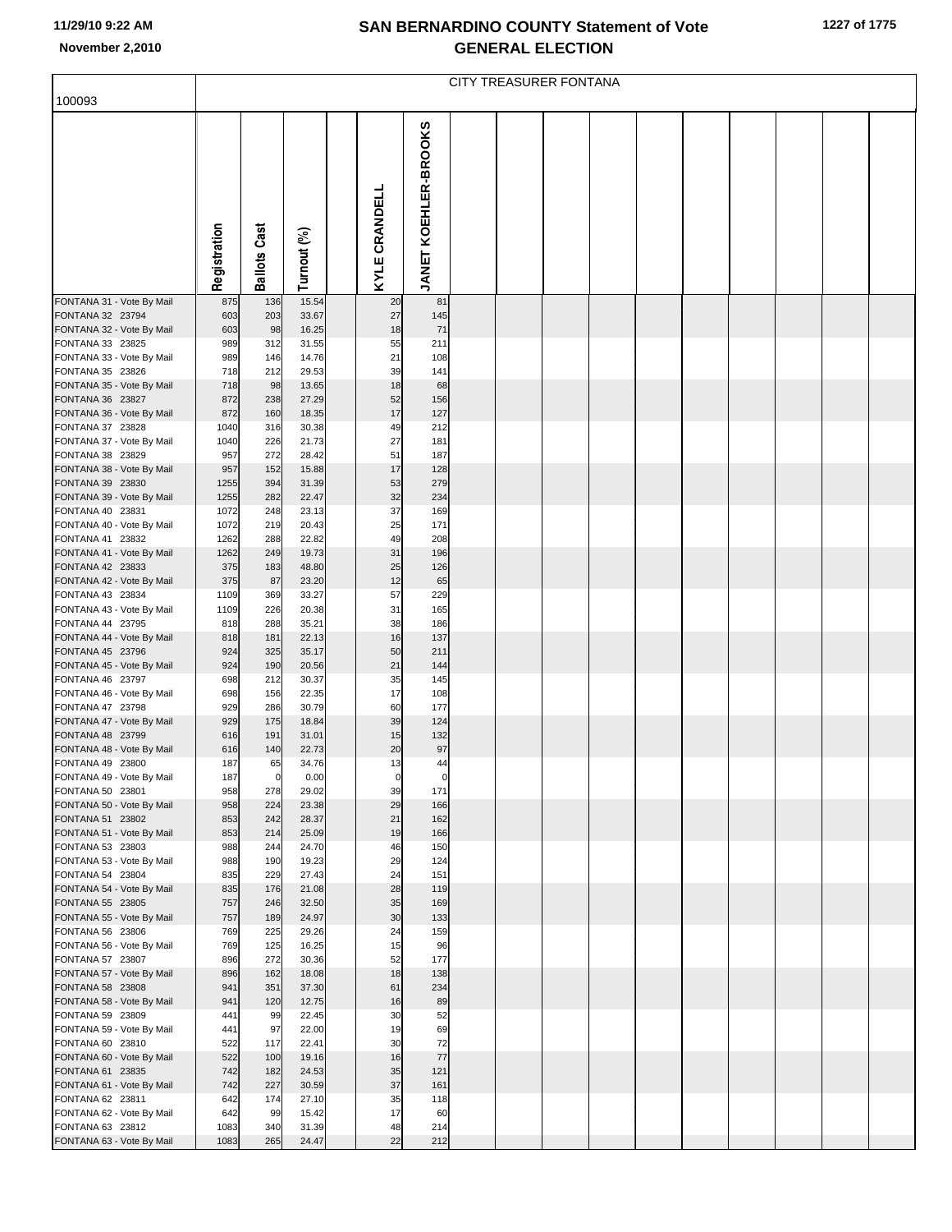|                                               | CITY TREASURER FONTANA |                     |                |  |               |                      |  |  |  |  |  |  |  |  |  |
|-----------------------------------------------|------------------------|---------------------|----------------|--|---------------|----------------------|--|--|--|--|--|--|--|--|--|
| 100093                                        |                        |                     |                |  |               |                      |  |  |  |  |  |  |  |  |  |
|                                               | Registration           | <b>Ballots Cast</b> | Turnout (%)    |  | KYLE CRANDELL | JANET KOEHLER-BROOKS |  |  |  |  |  |  |  |  |  |
| FONTANA 31 - Vote By Mail                     | 875                    | 136                 | 15.54          |  | 20            | 81                   |  |  |  |  |  |  |  |  |  |
| FONTANA 32 23794                              | 603                    | 203                 | 33.67          |  | 27<br>18      | 145                  |  |  |  |  |  |  |  |  |  |
| FONTANA 32 - Vote By Mail<br>FONTANA 33 23825 | 603<br>989             | 98<br>312           | 16.25<br>31.55 |  | 55            | 71<br>211            |  |  |  |  |  |  |  |  |  |
| FONTANA 33 - Vote By Mail                     | 989                    | 146                 | 14.76          |  | 21            | 108                  |  |  |  |  |  |  |  |  |  |
| FONTANA 35 23826                              | 718                    | 212                 | 29.53          |  | 39            | 141                  |  |  |  |  |  |  |  |  |  |
| FONTANA 35 - Vote By Mail<br>FONTANA 36 23827 | 718<br>872             | 98<br>238           | 13.65<br>27.29 |  | 18<br>52      | 68<br>156            |  |  |  |  |  |  |  |  |  |
| FONTANA 36 - Vote By Mail                     | 872                    | 160                 | 18.35          |  | 17            | 127                  |  |  |  |  |  |  |  |  |  |
| FONTANA 37 23828                              | 1040                   | 316                 | 30.38          |  | 49            | 212                  |  |  |  |  |  |  |  |  |  |
| FONTANA 37 - Vote By Mail<br>FONTANA 38 23829 | 1040<br>957            | 226<br>272          | 21.73<br>28.42 |  | 27<br>51      | 181<br>187           |  |  |  |  |  |  |  |  |  |
| FONTANA 38 - Vote By Mail                     | 957                    | 152                 | 15.88          |  | 17            | 128                  |  |  |  |  |  |  |  |  |  |
| FONTANA 39 23830                              | 1255                   | 394                 | 31.39          |  | 53            | 279                  |  |  |  |  |  |  |  |  |  |
| FONTANA 39 - Vote By Mail                     | 1255                   | 282                 | 22.47          |  | 32            | 234                  |  |  |  |  |  |  |  |  |  |
| FONTANA 40 23831<br>FONTANA 40 - Vote By Mail | 1072<br>1072           | 248<br>219          | 23.13<br>20.43 |  | 37<br>25      | 169<br>171           |  |  |  |  |  |  |  |  |  |
| FONTANA 41 23832                              | 1262                   | 288                 | 22.82          |  | 49            | 208                  |  |  |  |  |  |  |  |  |  |
| FONTANA 41 - Vote By Mail                     | 1262                   | 249                 | 19.73          |  | 31            | 196                  |  |  |  |  |  |  |  |  |  |
| FONTANA 42 23833<br>FONTANA 42 - Vote By Mail | 375<br>375             | 183<br>87           | 48.80<br>23.20 |  | 25<br>12      | 126<br>65            |  |  |  |  |  |  |  |  |  |
| FONTANA 43 23834                              | 1109                   | 369                 | 33.27          |  | 57            | 229                  |  |  |  |  |  |  |  |  |  |
| FONTANA 43 - Vote By Mail                     | 1109                   | 226                 | 20.38          |  | 31            | 165                  |  |  |  |  |  |  |  |  |  |
| FONTANA 44 23795<br>FONTANA 44 - Vote By Mail | 818<br>818             | 288<br>181          | 35.21<br>22.13 |  | 38<br>16      | 186<br>137           |  |  |  |  |  |  |  |  |  |
| FONTANA 45 23796                              | 924                    | 325                 | 35.17          |  | 50            | 211                  |  |  |  |  |  |  |  |  |  |
| FONTANA 45 - Vote By Mail                     | 924                    | 190                 | 20.56          |  | 21            | 144                  |  |  |  |  |  |  |  |  |  |
| FONTANA 46 23797<br>FONTANA 46 - Vote By Mail | 698<br>698             | 212<br>156          | 30.37<br>22.35 |  | 35<br>17      | 145<br>108           |  |  |  |  |  |  |  |  |  |
| FONTANA 47 23798                              | 929                    | 286                 | 30.79          |  | 60            | 177                  |  |  |  |  |  |  |  |  |  |
| FONTANA 47 - Vote By Mail                     | 929                    | 175                 | 18.84          |  | 39            | 124                  |  |  |  |  |  |  |  |  |  |
| FONTANA 48 23799<br>FONTANA 48 - Vote By Mail | 616<br>616             | 191<br>140          | 31.01<br>22.73 |  | 15<br>20      | 132<br>97            |  |  |  |  |  |  |  |  |  |
| FONTANA 49 23800                              | 187                    | 65                  | 34.76          |  | 13            | 44                   |  |  |  |  |  |  |  |  |  |
| FONTANA 49 - Vote By Mail                     | 187                    | $\overline{0}$      | 0.00           |  | $\circ$       | $\overline{0}$       |  |  |  |  |  |  |  |  |  |
| FONTANA 50 23801<br>FONTANA 50 - Vote By Mail | 958<br>958             | 278<br>224          | 29.02<br>23.38 |  | 39<br>29      | 171<br>166           |  |  |  |  |  |  |  |  |  |
| FONTANA 51 23802                              | 853                    | 242                 | 28.37          |  | 21            | 162                  |  |  |  |  |  |  |  |  |  |
| FONTANA 51 - Vote By Mail                     | 853                    | 214                 | 25.09          |  | 19            | 166                  |  |  |  |  |  |  |  |  |  |
| FONTANA 53 23803<br>FONTANA 53 - Vote By Mail | 988<br>988             | 244<br>190          | 24.70<br>19.23 |  | 46<br>29      | 150<br>124           |  |  |  |  |  |  |  |  |  |
| FONTANA 54 23804                              | 835                    | 229                 | 27.43          |  | 24            | 151                  |  |  |  |  |  |  |  |  |  |
| FONTANA 54 - Vote By Mail                     | 835                    | 176                 | 21.08          |  | 28            | 119                  |  |  |  |  |  |  |  |  |  |
| FONTANA 55 23805<br>FONTANA 55 - Vote By Mail | 757<br>757             | 246<br>189          | 32.50<br>24.97 |  | 35<br>30      | 169<br>133           |  |  |  |  |  |  |  |  |  |
| FONTANA 56 23806                              | 769                    | 225                 | 29.26          |  | 24            | 159                  |  |  |  |  |  |  |  |  |  |
| FONTANA 56 - Vote By Mail                     | 769                    | 125                 | 16.25          |  | 15            | 96                   |  |  |  |  |  |  |  |  |  |
| FONTANA 57 23807<br>FONTANA 57 - Vote By Mail | 896<br>896             | 272<br>162          | 30.36<br>18.08 |  | 52<br>18      | 177<br>138           |  |  |  |  |  |  |  |  |  |
| FONTANA 58 23808                              | 941                    | 351                 | 37.30          |  | 61            | 234                  |  |  |  |  |  |  |  |  |  |
| FONTANA 58 - Vote By Mail                     | 941                    | 120                 | 12.75          |  | 16            | 89                   |  |  |  |  |  |  |  |  |  |
| FONTANA 59 23809                              | 441                    | 99                  | 22.45          |  | 30            | 52                   |  |  |  |  |  |  |  |  |  |
| FONTANA 59 - Vote By Mail<br>FONTANA 60 23810 | 441<br>522             | 97<br>117           | 22.00<br>22.41 |  | 19<br>30      | 69<br>72             |  |  |  |  |  |  |  |  |  |
| FONTANA 60 - Vote By Mail                     | 522                    | 100                 | 19.16          |  | 16            | 77                   |  |  |  |  |  |  |  |  |  |
| FONTANA 61 23835                              | 742                    | 182                 | 24.53          |  | 35            | 121                  |  |  |  |  |  |  |  |  |  |
| FONTANA 61 - Vote By Mail<br>FONTANA 62 23811 | 742<br>642             | 227<br>174          | 30.59<br>27.10 |  | 37<br>35      | 161<br>118           |  |  |  |  |  |  |  |  |  |
| FONTANA 62 - Vote By Mail                     | 642                    | 99                  | 15.42          |  | 17            | 60                   |  |  |  |  |  |  |  |  |  |
| FONTANA 63 23812                              | 1083                   | 340                 | 31.39          |  | 48            | 214                  |  |  |  |  |  |  |  |  |  |
| FONTANA 63 - Vote By Mail                     | 1083                   | 265                 | 24.47          |  | 22            | 212                  |  |  |  |  |  |  |  |  |  |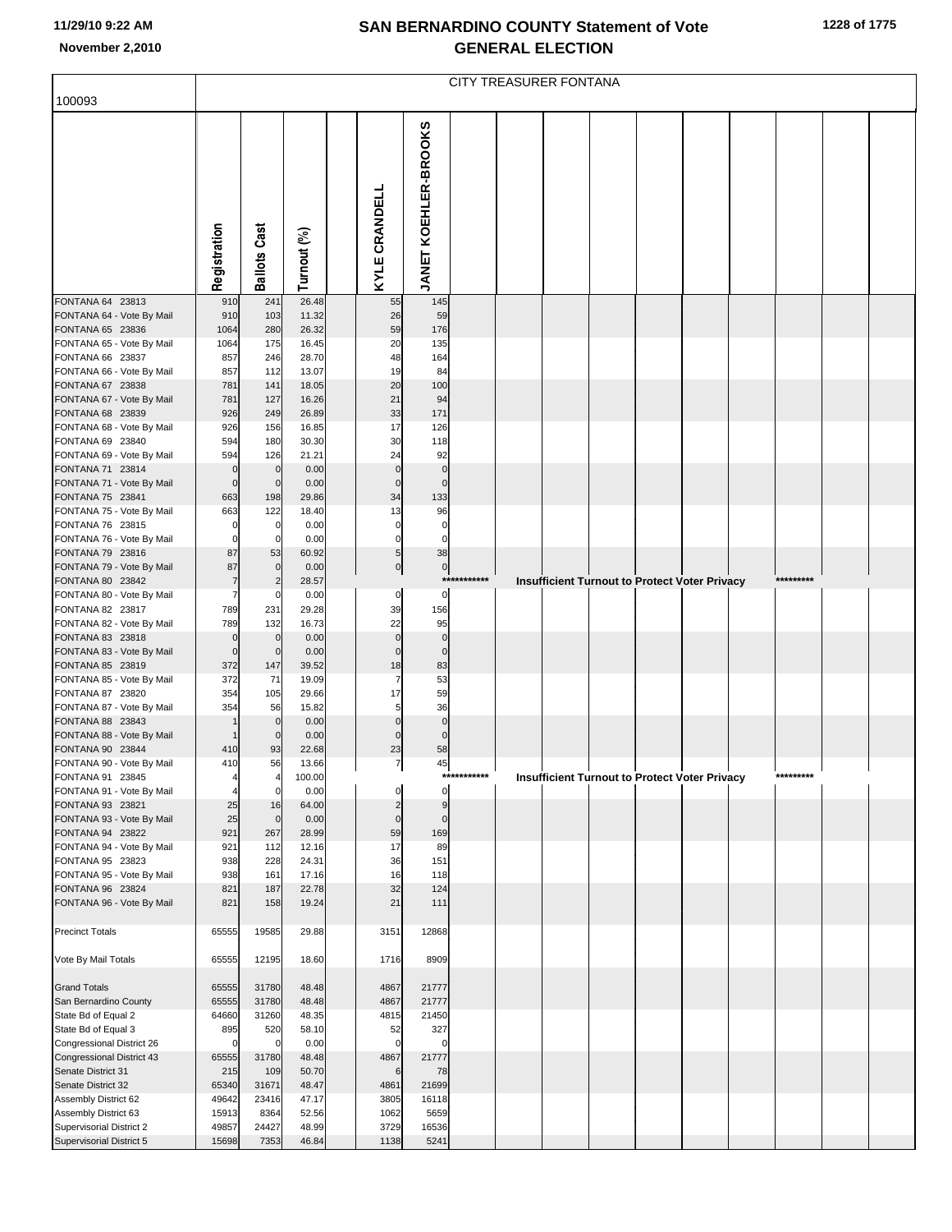|                                                         | CITY TREASURER FONTANA     |                            |                |               |                                           |              |  |  |  |                                                      |  |  |           |  |
|---------------------------------------------------------|----------------------------|----------------------------|----------------|---------------|-------------------------------------------|--------------|--|--|--|------------------------------------------------------|--|--|-----------|--|
| 100093                                                  |                            |                            |                |               |                                           |              |  |  |  |                                                      |  |  |           |  |
|                                                         | Registration               | <b>Ballots Cast</b>        | Turnout (%)    | KYLE CRANDELL | <b>JANET KOEHLER-BROOKS</b>               |              |  |  |  |                                                      |  |  |           |  |
| FONTANA 64 23813                                        | 910                        | 241                        | 26.48          |               | 145<br>55                                 |              |  |  |  |                                                      |  |  |           |  |
| FONTANA 64 - Vote By Mail<br>FONTANA 65 23836           | 910<br>1064                | 103<br>280                 | 11.32<br>26.32 |               | 26<br>59<br>59<br>176                     |              |  |  |  |                                                      |  |  |           |  |
| FONTANA 65 - Vote By Mail                               | 1064                       | 175                        | 16.45          |               | 20<br>135                                 |              |  |  |  |                                                      |  |  |           |  |
| FONTANA 66 23837                                        | 857                        | 246                        | 28.70          |               | 48<br>164                                 |              |  |  |  |                                                      |  |  |           |  |
| FONTANA 66 - Vote By Mail<br>FONTANA 67 23838           | 857<br>781                 | 112<br>141                 | 13.07<br>18.05 |               | 19<br>84<br>20<br>100                     |              |  |  |  |                                                      |  |  |           |  |
| FONTANA 67 - Vote By Mail                               | 781                        | 127                        | 16.26          |               | 21<br>94                                  |              |  |  |  |                                                      |  |  |           |  |
| FONTANA 68 23839                                        | 926                        | 249                        | 26.89          |               | 33<br>171                                 |              |  |  |  |                                                      |  |  |           |  |
| FONTANA 68 - Vote By Mail                               | 926                        | 156                        | 16.85          |               | 17<br>126                                 |              |  |  |  |                                                      |  |  |           |  |
| FONTANA 69 23840<br>FONTANA 69 - Vote By Mail           | 594<br>594                 | 180<br>126                 | 30.30<br>21.21 |               | 30<br>118<br>24<br>92                     |              |  |  |  |                                                      |  |  |           |  |
| FONTANA 71 23814                                        | $\mathbf 0$                | $\mathbf 0$                | 0.00           |               | $\mathbf 0$<br>$\mathbf 0$                |              |  |  |  |                                                      |  |  |           |  |
| FONTANA 71 - Vote By Mail                               | $\mathbf 0$                | $\mathbf 0$                | 0.00           |               | $\mathbf 0$<br>$\mathbf 0$                |              |  |  |  |                                                      |  |  |           |  |
| FONTANA 75 23841                                        | 663                        | 198                        | 29.86          |               | 34<br>133                                 |              |  |  |  |                                                      |  |  |           |  |
| FONTANA 75 - Vote By Mail                               | 663                        | 122                        | 18.40          |               | 13<br>96<br>$\mathbf 0$                   |              |  |  |  |                                                      |  |  |           |  |
| FONTANA 76 23815<br>FONTANA 76 - Vote By Mail           | $\mathbf 0$<br>$\mathbf 0$ | 0<br>$\mathbf 0$           | 0.00<br>0.00   |               | $\mathbf 0$<br>$\mathbf 0$<br>$\mathbf 0$ |              |  |  |  |                                                      |  |  |           |  |
| FONTANA 79 23816                                        | 87                         | 53                         | 60.92          |               | 38<br>5                                   |              |  |  |  |                                                      |  |  |           |  |
| FONTANA 79 - Vote By Mail                               | 87                         | $\mathbf 0$                | 0.00           |               | $\overline{0}$<br>$\mathbf{0}$            |              |  |  |  |                                                      |  |  |           |  |
| FONTANA 80 23842                                        | $\overline{7}$             |                            | 28.57          |               |                                           | ************ |  |  |  | Insufficient Turnout to Protect Voter Privacy        |  |  | ********* |  |
| FONTANA 80 - Vote By Mail<br>FONTANA 82 23817           | $\overline{7}$<br>789      | 0<br>231                   | 0.00<br>29.28  |               | $\pmb{0}$<br>0<br>39<br>156               |              |  |  |  |                                                      |  |  |           |  |
| FONTANA 82 - Vote By Mail                               | 789                        | 132                        | 16.73          |               | 22<br>95                                  |              |  |  |  |                                                      |  |  |           |  |
| FONTANA 83 23818                                        | $\mathbf 0$                | $\mathbf 0$                | 0.00           |               | $\mathbf 0$<br>$\mathbf 0$                |              |  |  |  |                                                      |  |  |           |  |
| FONTANA 83 - Vote By Mail<br>FONTANA 85 23819           | $\mathbf 0$<br>372         | $\mathbf 0$<br>147         | 0.00<br>39.52  |               | $\mathbf 0$<br>$\mathbf 0$<br>18<br>83    |              |  |  |  |                                                      |  |  |           |  |
| FONTANA 85 - Vote By Mail                               | 372                        | 71                         | 19.09          |               | 53<br>7                                   |              |  |  |  |                                                      |  |  |           |  |
| FONTANA 87 23820                                        | 354                        | 105                        | 29.66          |               | 17<br>59                                  |              |  |  |  |                                                      |  |  |           |  |
| FONTANA 87 - Vote By Mail                               | 354                        | 56                         | 15.82          |               | 36<br>5                                   |              |  |  |  |                                                      |  |  |           |  |
| FONTANA 88 23843<br>FONTANA 88 - Vote By Mail           |                            | $\mathbf 0$<br>$\mathbf 0$ | 0.00<br>0.00   |               | $\mathbf 0$<br>$\Omega$<br>$\mathbf 0$    |              |  |  |  |                                                      |  |  |           |  |
| FONTANA 90 23844                                        | 410                        | 93                         | 22.68          |               | 23<br>58                                  |              |  |  |  |                                                      |  |  |           |  |
| FONTANA 90 - Vote By Mail                               | 410                        | 56                         | 13.66          |               | $\overline{7}$<br>45                      |              |  |  |  |                                                      |  |  |           |  |
| FONTANA 91 23845                                        |                            | 4                          | 100.00         |               |                                           | ***********  |  |  |  | <b>Insufficient Turnout to Protect Voter Privacy</b> |  |  | ********* |  |
| FONTANA 91 - Vote By Mail<br>FONTANA 93 23821           | 25                         | $\mathbf 0$<br>16          | 0.00<br>64.00  |               | $\mathbf 0$<br>0<br>$\overline{2}$<br>9   |              |  |  |  |                                                      |  |  |           |  |
| FONTANA 93 - Vote By Mail                               | 25                         | $\mathbf 0$                | 0.00           |               | $\mathbf 0$<br>$\Omega$                   |              |  |  |  |                                                      |  |  |           |  |
| FONTANA 94 23822                                        | 921                        | 267                        | 28.99          |               | 59<br>169                                 |              |  |  |  |                                                      |  |  |           |  |
| FONTANA 94 - Vote By Mail                               | 921                        | 112                        | 12.16          |               | 17<br>89                                  |              |  |  |  |                                                      |  |  |           |  |
| FONTANA 95 23823<br>FONTANA 95 - Vote By Mail           | 938<br>938                 | 228<br>161                 | 24.31<br>17.16 |               | 36<br>151<br>16<br>118                    |              |  |  |  |                                                      |  |  |           |  |
| FONTANA 96 23824                                        | 821                        | 187                        | 22.78          |               | 32<br>124                                 |              |  |  |  |                                                      |  |  |           |  |
| FONTANA 96 - Vote By Mail                               | 821                        | 158                        | 19.24          |               | 21<br>111                                 |              |  |  |  |                                                      |  |  |           |  |
| <b>Precinct Totals</b>                                  | 65555                      | 19585                      | 29.88          | 3151          | 12868                                     |              |  |  |  |                                                      |  |  |           |  |
| Vote By Mail Totals                                     | 65555                      | 12195                      | 18.60          | 1716          | 8909                                      |              |  |  |  |                                                      |  |  |           |  |
| <b>Grand Totals</b>                                     | 65555                      | 31780                      | 48.48          | 4867          | 21777                                     |              |  |  |  |                                                      |  |  |           |  |
| San Bernardino County                                   | 65555                      | 31780                      | 48.48          | 4867          | 21777                                     |              |  |  |  |                                                      |  |  |           |  |
| State Bd of Equal 2                                     | 64660                      | 31260                      | 48.35          | 4815          | 21450                                     |              |  |  |  |                                                      |  |  |           |  |
| State Bd of Equal 3                                     | 895                        | 520                        | 58.10          |               | 327<br>52                                 |              |  |  |  |                                                      |  |  |           |  |
| Congressional District 26<br>Congressional District 43  | $\mathbf 0$<br>65555       | 0<br>31780                 | 0.00<br>48.48  | 4867          | $\mathbf 0$<br>$\Omega$<br>21777          |              |  |  |  |                                                      |  |  |           |  |
| Senate District 31                                      | 215                        | 109                        | 50.70          |               | 6<br>78                                   |              |  |  |  |                                                      |  |  |           |  |
| Senate District 32                                      | 65340                      | 31671                      | 48.47          | 4861          | 21699                                     |              |  |  |  |                                                      |  |  |           |  |
| Assembly District 62                                    | 49642                      | 23416                      | 47.17          | 3805          | 16118                                     |              |  |  |  |                                                      |  |  |           |  |
| Assembly District 63<br><b>Supervisorial District 2</b> | 15913<br>49857             | 8364<br>24427              | 52.56<br>48.99 | 1062<br>3729  | 5659<br>16536                             |              |  |  |  |                                                      |  |  |           |  |
| Supervisorial District 5                                | 15698                      | 7353                       | 46.84          | 1138          | 5241                                      |              |  |  |  |                                                      |  |  |           |  |
|                                                         |                            |                            |                |               |                                           |              |  |  |  |                                                      |  |  |           |  |